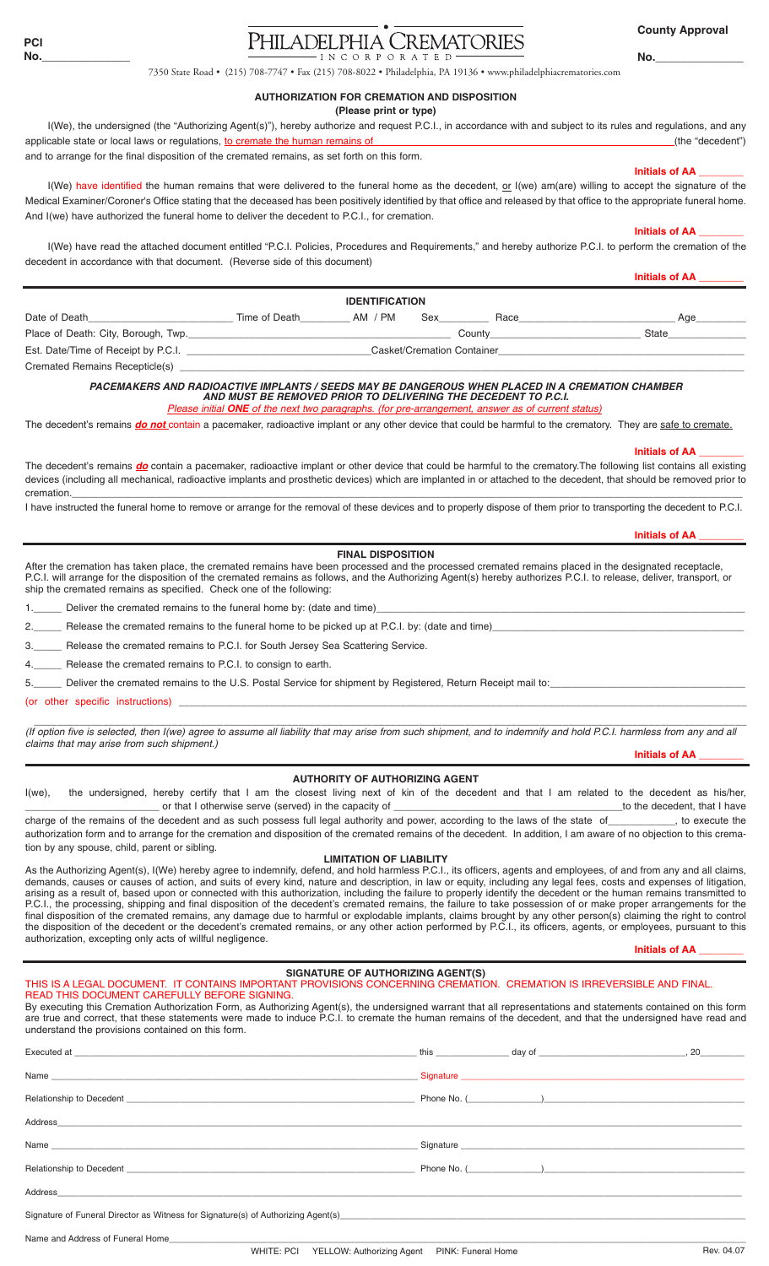# PHILADELPHIA CREMATORIES INCORPORATED

**County Approval**

**No.\_\_\_\_\_\_\_\_\_\_\_\_\_\_**

7350 State Road • (215) 708-7747 • Fax (215) 708-8022 • Philadelphia, PA 19136 • www.philadelphiacrematories.com

### **AUTHORIZATION FOR CREMATION AND DISPOSITION**

**(Please print or type)**

I(We), the undersigned (the "Authorizing Agent(s)"), hereby authorize and request P.C.I., in accordance with and subject to its rules and regulations, and any applicable state or local laws or regulations, to cremate the human remains of (the "decedent") (the "decedent") and to arrange for the final disposition of the cremated remains, as set forth on this form.

I(We) have identified the human remains that were delivered to the funeral home as the decedent, or I(we) am(are) willing to accept the signature of the Medical Examiner/Coroner's Office stating that the deceased has been positively identified by that office and released by that office to the appropriate funeral home. And I(we) have authorized the funeral home to deliver the decedent to P.C.I., for cremation.

**Initials of AA \_\_\_\_\_\_\_\_** 

 **Initials of AA \_\_\_\_\_\_\_\_**  I(We) have read the attached document entitled "P.C.I. Policies, Procedures and Requirements," and hereby authorize P.C.I. to perform the cremation of the decedent in accordance with that document. (Reverse side of this document) **Initials of AA \_\_\_\_\_\_\_\_** 

**IDENTIFICATION** Date of Death\_\_\_\_\_\_\_\_\_\_\_\_\_\_\_\_\_\_\_\_\_\_\_\_\_\_ Time of Death\_\_\_\_\_\_\_\_\_ AM / PM Sex\_\_\_\_\_\_\_\_\_ Race\_\_\_\_\_\_\_\_\_\_\_\_\_\_\_\_\_\_\_\_\_\_\_\_\_\_\_\_ Age\_\_\_\_\_\_\_\_\_ Place of Death: City, Borough, Twp.\_\_\_\_\_\_\_\_\_\_\_\_\_\_\_\_\_\_\_\_\_\_\_\_\_\_\_\_\_\_\_\_\_\_\_\_\_\_\_\_\_\_\_\_\_\_\_ County\_\_\_\_\_\_\_\_\_\_\_\_\_\_\_\_\_\_\_\_\_\_\_\_\_\_\_ State\_\_\_\_\_\_\_\_\_\_\_\_\_\_ Est. Date/Time of Receipt by P.C.I. \_\_\_\_\_\_\_\_\_\_\_\_\_\_\_\_\_\_\_\_\_\_\_\_\_\_\_\_\_\_\_\_\_Casket/Cremation Container\_\_\_\_\_\_\_\_\_\_\_\_\_\_\_\_\_\_\_\_\_\_\_\_\_\_\_\_\_\_\_\_\_\_\_\_\_\_\_\_\_\_\_\_ Cremated Remains Recepticle(s)

### *PACEMAKERS AND RADIOACTIVE IMPLANTS / SEEDS MAY BE DANGEROUS WHEN PLACED IN A CREMATION CHAMBER AND MUST BE REMOVED PRIOR TO DELIVERING THE DECEDENT TO P.C.I.*

*Please initial ONE of the next two paragraphs. (for pre-arrangement, answer as of current status)*

The decedent's remains *do not* contain a pacemaker, radioactive implant or any other device that could be harmful to the crematory. They are safe to cremate.

 **Initials of AA \_\_\_\_\_\_\_\_** 

The decedent's remains *do* contain a pacemaker, radioactive implant or other device that could be harmful to the crematory. The following list contains all existing devices (including all mechanical, radioactive implants and prosthetic devices) which are implanted in or attached to the decedent, that should be removed prior to cremation.\_\_\_\_\_\_\_\_\_\_\_\_\_\_\_\_\_\_\_\_\_\_\_\_\_\_\_\_\_\_\_\_\_\_\_\_\_\_\_\_\_\_\_\_\_\_\_\_\_\_\_\_\_\_\_\_\_\_\_\_\_\_\_\_\_\_\_\_\_\_\_\_\_\_\_\_\_\_\_\_\_\_\_\_\_\_\_\_\_\_\_\_\_\_\_\_\_\_\_\_\_\_\_\_\_\_\_\_\_\_\_\_\_\_\_\_\_\_\_\_

I have instructed the funeral home to remove or arrange for the removal of these devices and to properly dispose of them prior to transporting the decedent to P.C.I.

# **Initials of AA \_\_\_\_\_\_\_\_ FINAL DISPOSITION**

After the cremation has taken place, the cremated remains have been processed and the processed cremated remains placed in the designated receptacle, P.C.I. will arrange for the disposition of the cremated remains as follows, and the Authorizing Agent(s) hereby authorizes P.C.I. to release, deliver, transport, or ship the cremated remains as specified. Check one of the following:

Deliver the cremated remains to the funeral home by: (date and time)

Release the cremated remains to the funeral home to be picked up at P.C.I. by: (date and time)

Belease the cremated remains to P.C.I. for South Jersey Sea Scattering Service.

Release the cremated remains to P.C.I. to consign to earth.

\_ Deliver the cremated remains to the U.S. Postal Service for shipment by Registered, Return Receipt mail to:

(or other specific instructions)

 \_\_\_\_\_\_\_\_\_\_\_\_\_\_\_\_\_\_\_\_\_\_\_\_\_\_\_\_\_\_\_\_\_\_\_\_\_\_\_\_\_\_\_\_\_\_\_\_\_\_\_\_\_\_\_\_\_\_\_\_\_\_\_\_\_\_\_\_\_\_\_\_\_\_\_\_\_\_\_\_\_\_\_\_\_\_\_\_\_\_\_\_\_\_\_\_\_\_\_\_\_\_\_\_\_\_\_\_\_\_\_\_\_\_\_\_\_\_\_\_\_\_\_\_ *(If option five is selected, then I(we) agree to assume all liability that may arise from such shipment, and to indemnify and hold P.C.I. harmless from any and all claims that may arise from such shipment.)*

**Initials of AA \_\_\_\_\_\_\_\_**

### **AUTHORITY OF AUTHORIZING AGENT**

I(we), the undersigned, hereby certify that I am the closest living next of kin of the decedent and that I am related to the decedent as his/her, \_\_\_\_\_\_\_\_\_\_\_\_\_\_\_\_\_\_\_\_\_\_\_\_ or that I otherwise serve (served) in the capacity of \_\_\_\_\_\_\_\_\_\_\_\_\_\_\_\_\_\_\_\_\_\_\_\_\_\_\_\_\_\_\_\_\_\_\_\_\_\_\_\_\_to the decedent, that I have charge of the remains of the decedent and as such possess full legal authority and power, according to the laws of the state of\_\_\_\_\_\_\_\_\_\_\_, to execute the

authorization form and to arrange for the cremation and disposition of the cremated remains of the decedent. In addition, I am aware of no objection to this cremation by any spouse, child, parent or sibling. **LIMITATION OF LIABILITY**

As the Authorizing Agent(s), I(We) hereby agree to indemnify, defend, and hold harmless P.C.I., its officers, agents and employees, of and from any and all claims, demands, causes or causes of action, and suits of every kind, nature and description, in law or equity, including any legal fees, costs and expenses of litigation, arising as a result of, based upon or connected with this authorization, including the failure to properly identify the decedent or the human remains transmitted to P.C.I., the processing, shipping and final disposition of the decedent's cremated remains, the failure to take possession of or make proper arrangements for the final disposition of the cremated remains, any damage due to harmful or explodable implants, claims brought by any other person(s) claiming the right to control the disposition of the decedent or the decedent's cremated remains, or any other action performed by P.C.I., its officers, agents, or employees, pursuant to this authorization, excepting only acts of willful negligence.

**Initials of AA \_\_\_\_\_\_\_\_** 

# **SIGNATURE OF AUTHORIZING AGENT(S)**

### THIS IS A LEGAL DOCUMENT. IT CONTAINS IMPORTANT PROVISIONS CONCERNING CREMATION. CREMATION IS IRREVERSIBLE AND FINAL. READ THIS DOCUMENT CAREFULLY BEFORE SIGNING.

By executing this Cremation Authorization Form, as Authorizing Agent(s), the undersigned warrant that all representations and statements contained on this form are true and correct, that these statements were made to induce P.C.I. to cremate the human remains of the decedent, and that the undersigned have read and understand the provisions contained on this form.

|                                                                                                                                                                                                                                | this $\qquad \qquad \text{day of} \qquad \qquad \text{day}$                                                                                                                                                                    | , 20 |
|--------------------------------------------------------------------------------------------------------------------------------------------------------------------------------------------------------------------------------|--------------------------------------------------------------------------------------------------------------------------------------------------------------------------------------------------------------------------------|------|
|                                                                                                                                                                                                                                | Signature experience and the state of the state of the state of the state of the state of the state of the state of the state of the state of the state of the state of the state of the state of the state of the state of th |      |
|                                                                                                                                                                                                                                |                                                                                                                                                                                                                                |      |
|                                                                                                                                                                                                                                |                                                                                                                                                                                                                                |      |
|                                                                                                                                                                                                                                |                                                                                                                                                                                                                                |      |
| Relationship to Decedent Learning and the contract of the contract of the contract of the contract of the contract of the contract of the contract of the contract of the contract of the contract of the contract of the cont |                                                                                                                                                                                                                                |      |
| Address                                                                                                                                                                                                                        |                                                                                                                                                                                                                                |      |

Signature of Funeral Director as Witness for Signature(s) of Authorizing Agent(s)

Name and Address of Funeral Home